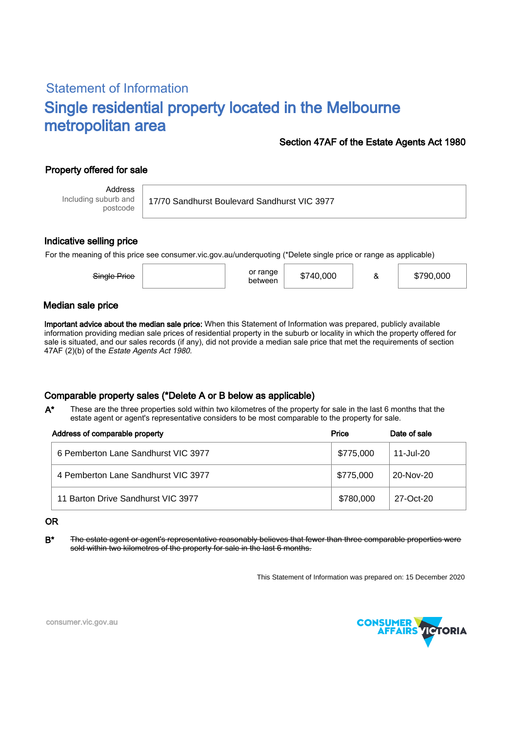# Statement of Information Single residential property located in the Melbourne metropolitan area

#### Section 47AF of the Estate Agents Act 1980

## Property offered for sale

Address Including suburb and postcode

17/70 Sandhurst Boulevard Sandhurst VIC 3977

#### Indicative selling price

For the meaning of this price see consumer.vic.gov.au/underquoting (\*Delete single price or range as applicable)

| Single Price | or range<br>between | \$740,000 |  | \$790,000 |
|--------------|---------------------|-----------|--|-----------|
|--------------|---------------------|-----------|--|-----------|

#### Median sale price

Important advice about the median sale price: When this Statement of Information was prepared, publicly available information providing median sale prices of residential property in the suburb or locality in which the property offered for sale is situated, and our sales records (if any), did not provide a median sale price that met the requirements of section 47AF (2)(b) of the Estate Agents Act 1980.

### Comparable property sales (\*Delete A or B below as applicable)

These are the three properties sold within two kilometres of the property for sale in the last 6 months that the estate agent or agent's representative considers to be most comparable to the property for sale. A\*

| Address of comparable property      | Price     | Date of sale |
|-------------------------------------|-----------|--------------|
| 6 Pemberton Lane Sandhurst VIC 3977 | \$775,000 | 11-Jul-20    |
| 4 Pemberton Lane Sandhurst VIC 3977 | \$775,000 | 20-Nov-20    |
| 11 Barton Drive Sandhurst VIC 3977  | \$780,000 | 27-Oct-20    |

#### OR

B<sup>\*</sup> The estate agent or agent's representative reasonably believes that fewer than three comparable properties were sold within two kilometres of the property for sale in the last 6 months.

This Statement of Information was prepared on: 15 December 2020



consumer.vic.gov.au